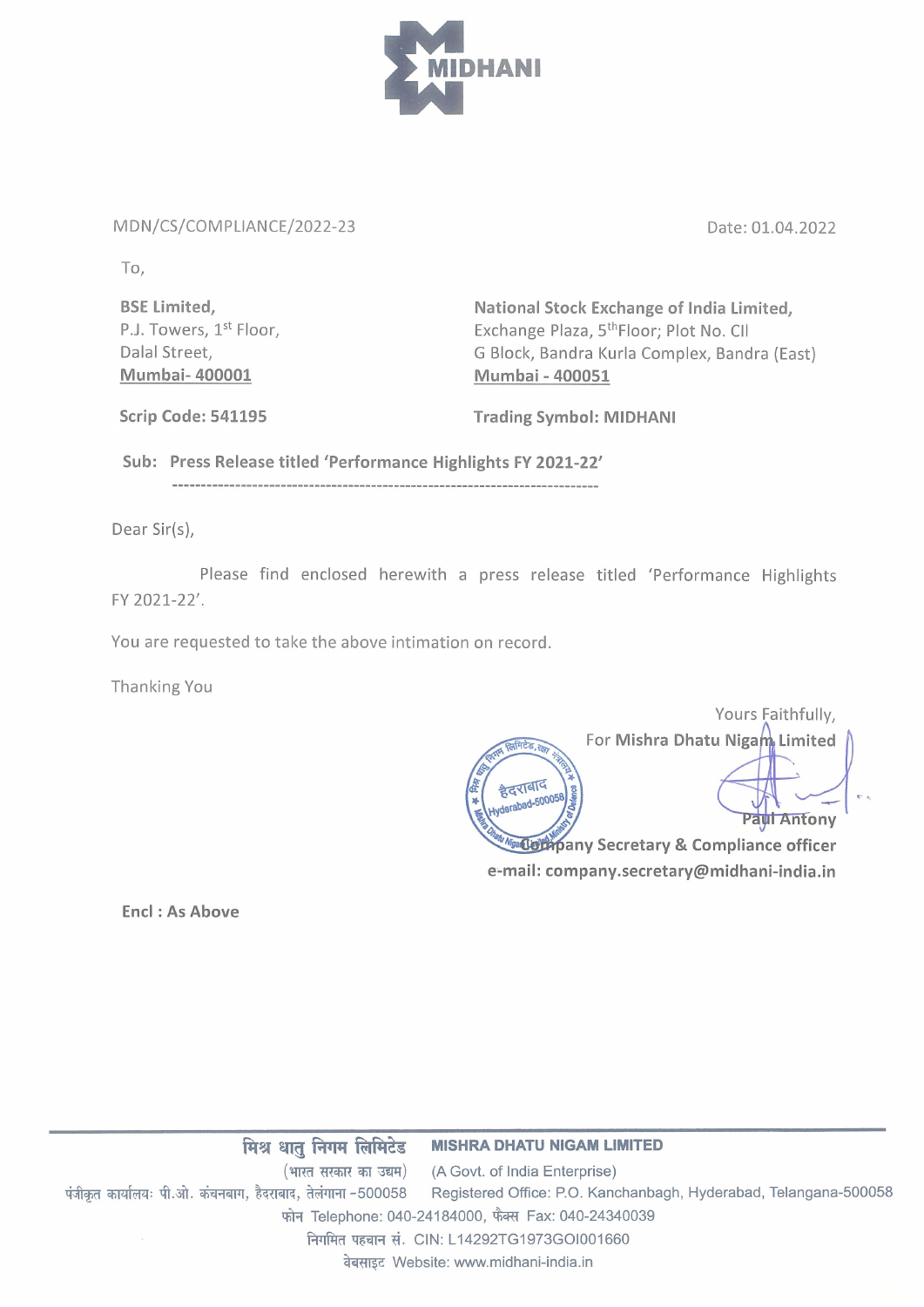

## MDN/CS/COMPLIANCE/2022-23

Date: 01.04.2022

To,

BSE Limited, P.J. Towers, 1st Floor, Dalal Street, Mumbai- 400001

National Stock Exchange of India Limited, Exchange Plaza, 5<sup>th</sup>Floor; Plot No. Cll G Block, Bandra Kurla Complex, Bandra (East) Mumbai - 400051

Scrip Code: 541195 Trading Symbol: MIDHANI

Sub: Press Release titled 'Performance Highlights FY 2021-22'

Dear Sir(s),

Please find enclosed herewith <sup>a</sup> press release titled 'Performance Highlights FY 2021-22'.

You are requested to take the above intimation on record.

Thanking You

Yours Faithfully, For Mishra Dhatu Nigam, Limited हैदराबाद derabad-50005f Paul Antony **Monto Becketary & Compliance officer** e-mail: company.secretary@midhani-india.in

Encl: As Above

<mark>रातु निगम लिमिटेड MISHRA DHATU NIGAM LIMITED</mark><br>(भारत सरकार का उद्यम) (A Govt. of India Enterprise) मिश्र धातु निगम लिमिटेड MISHRA DHATU NIGAM LIMITED<br>(भारत सरकार का उद्यम) (A Govt. of India Enterprise)<br>पंजीकृत कार्यालयः पी.ओ. कंचनबाग, हैदराबाद, तेलंगाना -500058 Registered Office: P.O. Kanchanbagh, Hyderabad, फोन Telephone: 040-24184000, फैक्स Fax: 040-24340039 निगमित पहचान सं. CIN: L14292TG1973GOI001660 वेबसाइट Website: www.midhani-india.in